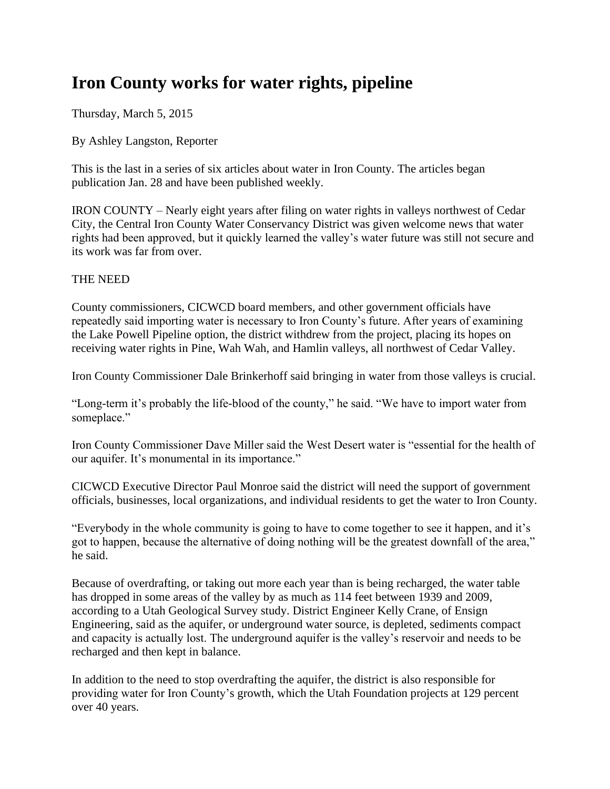# **Iron County works for water rights, pipeline**

Thursday, March 5, 2015

By Ashley Langston, Reporter

This is the last in a series of six articles about water in Iron County. The articles began publication Jan. 28 and have been published weekly.

IRON COUNTY – Nearly eight years after filing on water rights in valleys northwest of Cedar City, the Central Iron County Water Conservancy District was given welcome news that water rights had been approved, but it quickly learned the valley's water future was still not secure and its work was far from over.

# THE NEED

County commissioners, CICWCD board members, and other government officials have repeatedly said importing water is necessary to Iron County's future. After years of examining the Lake Powell Pipeline option, the district withdrew from the project, placing its hopes on receiving water rights in Pine, Wah Wah, and Hamlin valleys, all northwest of Cedar Valley.

Iron County Commissioner Dale Brinkerhoff said bringing in water from those valleys is crucial.

"Long-term it's probably the life-blood of the county," he said. "We have to import water from someplace."

Iron County Commissioner Dave Miller said the West Desert water is "essential for the health of our aquifer. It's monumental in its importance."

CICWCD Executive Director Paul Monroe said the district will need the support of government officials, businesses, local organizations, and individual residents to get the water to Iron County.

"Everybody in the whole community is going to have to come together to see it happen, and it's got to happen, because the alternative of doing nothing will be the greatest downfall of the area," he said.

Because of overdrafting, or taking out more each year than is being recharged, the water table has dropped in some areas of the valley by as much as 114 feet between 1939 and 2009, according to a Utah Geological Survey study. District Engineer Kelly Crane, of Ensign Engineering, said as the aquifer, or underground water source, is depleted, sediments compact and capacity is actually lost. The underground aquifer is the valley's reservoir and needs to be recharged and then kept in balance.

In addition to the need to stop overdrafting the aquifer, the district is also responsible for providing water for Iron County's growth, which the Utah Foundation projects at 129 percent over 40 years.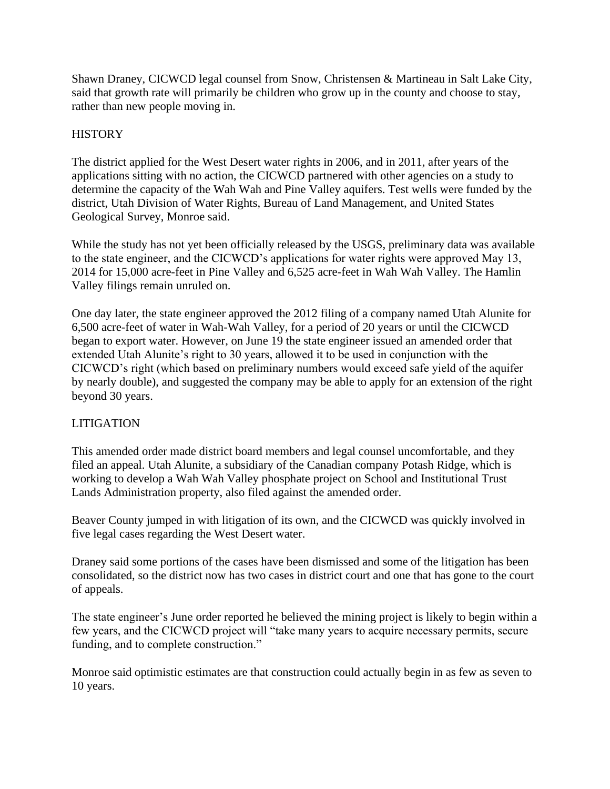Shawn Draney, CICWCD legal counsel from Snow, Christensen & Martineau in Salt Lake City, said that growth rate will primarily be children who grow up in the county and choose to stay, rather than new people moving in.

# **HISTORY**

The district applied for the West Desert water rights in 2006, and in 2011, after years of the applications sitting with no action, the CICWCD partnered with other agencies on a study to determine the capacity of the Wah Wah and Pine Valley aquifers. Test wells were funded by the district, Utah Division of Water Rights, Bureau of Land Management, and United States Geological Survey, Monroe said.

While the study has not yet been officially released by the USGS, preliminary data was available to the state engineer, and the CICWCD's applications for water rights were approved May 13, 2014 for 15,000 acre-feet in Pine Valley and 6,525 acre-feet in Wah Wah Valley. The Hamlin Valley filings remain unruled on.

One day later, the state engineer approved the 2012 filing of a company named Utah Alunite for 6,500 acre-feet of water in Wah-Wah Valley, for a period of 20 years or until the CICWCD began to export water. However, on June 19 the state engineer issued an amended order that extended Utah Alunite's right to 30 years, allowed it to be used in conjunction with the CICWCD's right (which based on preliminary numbers would exceed safe yield of the aquifer by nearly double), and suggested the company may be able to apply for an extension of the right beyond 30 years.

# LITIGATION

This amended order made district board members and legal counsel uncomfortable, and they filed an appeal. Utah Alunite, a subsidiary of the Canadian company Potash Ridge, which is working to develop a Wah Wah Valley phosphate project on School and Institutional Trust Lands Administration property, also filed against the amended order.

Beaver County jumped in with litigation of its own, and the CICWCD was quickly involved in five legal cases regarding the West Desert water.

Draney said some portions of the cases have been dismissed and some of the litigation has been consolidated, so the district now has two cases in district court and one that has gone to the court of appeals.

The state engineer's June order reported he believed the mining project is likely to begin within a few years, and the CICWCD project will "take many years to acquire necessary permits, secure funding, and to complete construction."

Monroe said optimistic estimates are that construction could actually begin in as few as seven to 10 years.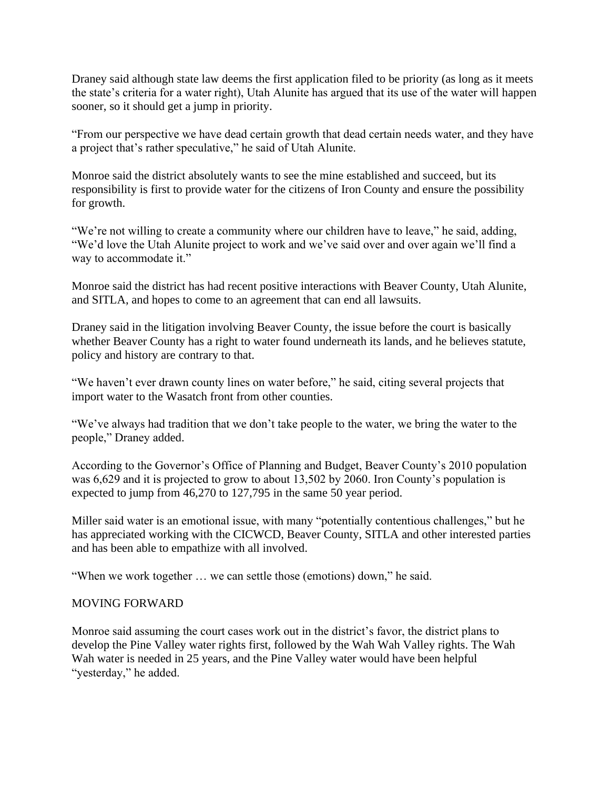Draney said although state law deems the first application filed to be priority (as long as it meets the state's criteria for a water right), Utah Alunite has argued that its use of the water will happen sooner, so it should get a jump in priority.

"From our perspective we have dead certain growth that dead certain needs water, and they have a project that's rather speculative," he said of Utah Alunite.

Monroe said the district absolutely wants to see the mine established and succeed, but its responsibility is first to provide water for the citizens of Iron County and ensure the possibility for growth.

"We're not willing to create a community where our children have to leave," he said, adding, "We'd love the Utah Alunite project to work and we've said over and over again we'll find a way to accommodate it."

Monroe said the district has had recent positive interactions with Beaver County, Utah Alunite, and SITLA, and hopes to come to an agreement that can end all lawsuits.

Draney said in the litigation involving Beaver County, the issue before the court is basically whether Beaver County has a right to water found underneath its lands, and he believes statute, policy and history are contrary to that.

"We haven't ever drawn county lines on water before," he said, citing several projects that import water to the Wasatch front from other counties.

"We've always had tradition that we don't take people to the water, we bring the water to the people," Draney added.

According to the Governor's Office of Planning and Budget, Beaver County's 2010 population was 6,629 and it is projected to grow to about 13,502 by 2060. Iron County's population is expected to jump from 46,270 to 127,795 in the same 50 year period.

Miller said water is an emotional issue, with many "potentially contentious challenges," but he has appreciated working with the CICWCD, Beaver County, SITLA and other interested parties and has been able to empathize with all involved.

"When we work together … we can settle those (emotions) down," he said.

# MOVING FORWARD

Monroe said assuming the court cases work out in the district's favor, the district plans to develop the Pine Valley water rights first, followed by the Wah Wah Valley rights. The Wah Wah water is needed in 25 years, and the Pine Valley water would have been helpful "yesterday," he added.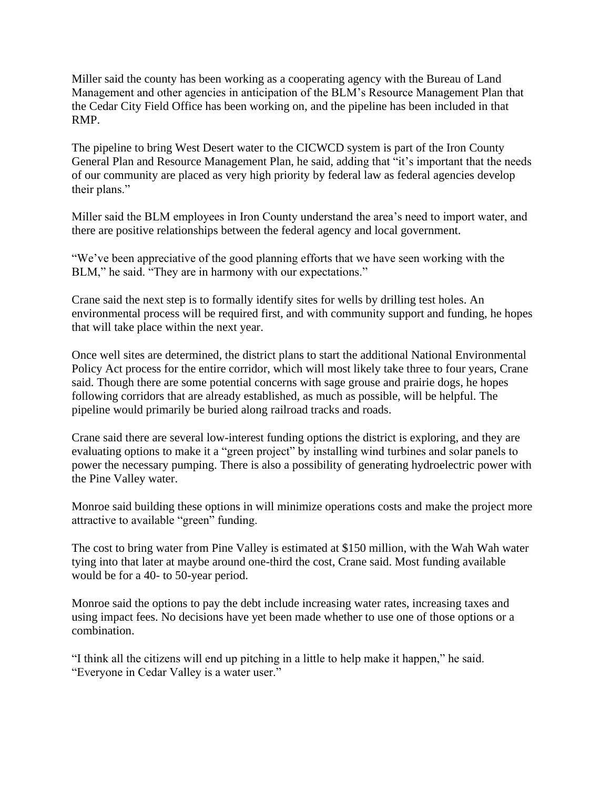Miller said the county has been working as a cooperating agency with the Bureau of Land Management and other agencies in anticipation of the BLM's Resource Management Plan that the Cedar City Field Office has been working on, and the pipeline has been included in that RMP.

The pipeline to bring West Desert water to the CICWCD system is part of the Iron County General Plan and Resource Management Plan, he said, adding that "it's important that the needs of our community are placed as very high priority by federal law as federal agencies develop their plans."

Miller said the BLM employees in Iron County understand the area's need to import water, and there are positive relationships between the federal agency and local government.

"We've been appreciative of the good planning efforts that we have seen working with the BLM," he said. "They are in harmony with our expectations."

Crane said the next step is to formally identify sites for wells by drilling test holes. An environmental process will be required first, and with community support and funding, he hopes that will take place within the next year.

Once well sites are determined, the district plans to start the additional National Environmental Policy Act process for the entire corridor, which will most likely take three to four years, Crane said. Though there are some potential concerns with sage grouse and prairie dogs, he hopes following corridors that are already established, as much as possible, will be helpful. The pipeline would primarily be buried along railroad tracks and roads.

Crane said there are several low-interest funding options the district is exploring, and they are evaluating options to make it a "green project" by installing wind turbines and solar panels to power the necessary pumping. There is also a possibility of generating hydroelectric power with the Pine Valley water.

Monroe said building these options in will minimize operations costs and make the project more attractive to available "green" funding.

The cost to bring water from Pine Valley is estimated at \$150 million, with the Wah Wah water tying into that later at maybe around one-third the cost, Crane said. Most funding available would be for a 40- to 50-year period.

Monroe said the options to pay the debt include increasing water rates, increasing taxes and using impact fees. No decisions have yet been made whether to use one of those options or a combination.

"I think all the citizens will end up pitching in a little to help make it happen," he said. "Everyone in Cedar Valley is a water user."